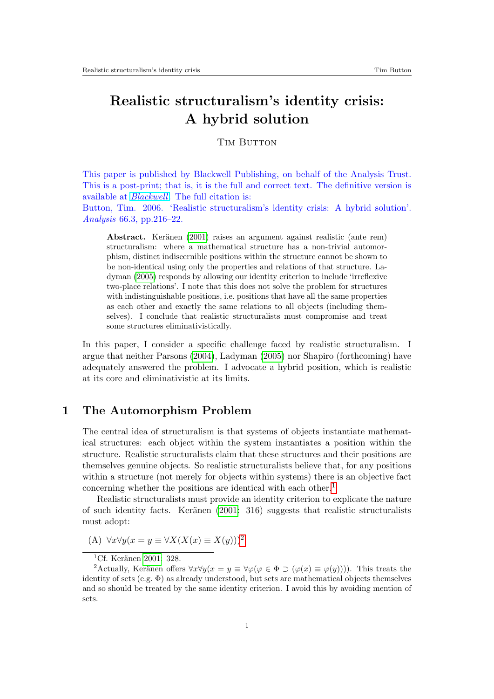# Realistic structuralism's identity crisis: A hybrid solution

**TIM BUTTON** 

This paper is published by Blackwell Publishing, on behalf of the Analysis Trust. This is a post-print; that is, it is the full and correct text. The definitive version is available at [Blackwell](http://www.blackwell-synergy.com/). The full citation is:

Button, Tim. 2006. 'Realistic structuralism's identity crisis: A hybrid solution'. Analysis 66.3, pp.216–22.

Abstract. Keränen [\(2001\)](#page-5-0) raises an argument against realistic (ante rem) structuralism: where a mathematical structure has a non-trivial automorphism, distinct indiscernible positions within the structure cannot be shown to be non-identical using only the properties and relations of that structure. Ladyman [\(2005\)](#page-5-1) responds by allowing our identity criterion to include 'irreflexive two-place relations'. I note that this does not solve the problem for structures with indistinguishable positions, i.e. positions that have all the same properties as each other and exactly the same relations to all objects (including themselves). I conclude that realistic structuralists must compromise and treat some structures eliminativistically.

In this paper, I consider a specific challenge faced by realistic structuralism. I argue that neither Parsons [\(2004\)](#page-5-2), Ladyman [\(2005\)](#page-5-1) nor Shapiro (forthcoming) have adequately answered the problem. I advocate a hybrid position, which is realistic at its core and eliminativistic at its limits.

## 1 The Automorphism Problem

The central idea of structuralism is that systems of objects instantiate mathematical structures: each object within the system instantiates a position within the structure. Realistic structuralists claim that these structures and their positions are themselves genuine objects. So realistic structuralists believe that, for any positions within a structure (not merely for objects within systems) there is an objective fact concerning whether the positions are identical with each other.<sup>[1](#page-0-0)</sup>

Realistic structuralists must provide an identity criterion to explicate the nature of such identity facts. Keränen  $(2001: 316)$  $(2001: 316)$  suggests that realistic structuralists must adopt:

(A)  $\forall x \forall y (x = y \equiv \forall X (X(x) \equiv X(y)))^2$  $\forall x \forall y (x = y \equiv \forall X (X(x) \equiv X(y)))^2$ 

<span id="page-0-1"></span><span id="page-0-0"></span> ${}^{1}$ Cf. Keränen [2001:](#page-5-0) 328.

<sup>&</sup>lt;sup>2</sup>Actually, Keränen offers  $\forall x \forall y (x = y \equiv \forall \varphi(\varphi \in \Phi \supset (\varphi(x) \equiv \varphi(y))))$ . This treats the identity of sets  $(e.g. \Phi)$  as already understood, but sets are mathematical objects themselves and so should be treated by the same identity criterion. I avoid this by avoiding mention of sets.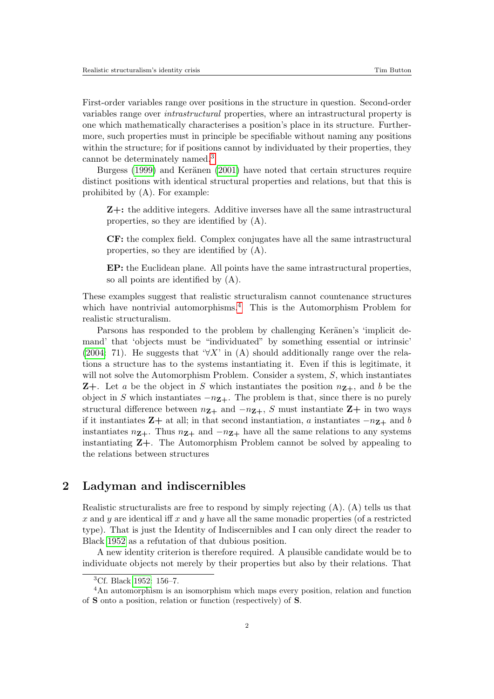First-order variables range over positions in the structure in question. Second-order variables range over intrastructural properties, where an intrastructural property is one which mathematically characterises a position's place in its structure. Furthermore, such properties must in principle be specifiable without naming any positions within the structure; for if positions cannot by individuated by their properties, they cannot be determinately named.<sup>[3](#page-1-0)</sup>

Burgess [\(1999\)](#page-5-3) and Keränen [\(2001\)](#page-5-0) have noted that certain structures require distinct positions with identical structural properties and relations, but that this is prohibited by (A). For example:

Z+: the additive integers. Additive inverses have all the same intrastructural properties, so they are identified by (A).

CF: the complex field. Complex conjugates have all the same intrastructural properties, so they are identified by (A).

EP: the Euclidean plane. All points have the same intrastructural properties, so all points are identified by (A).

These examples suggest that realistic structuralism cannot countenance structures which have nontrivial automorphisms.<sup>[4](#page-1-1)</sup> This is the Automorphism Problem for realistic structuralism.

Parsons has responded to the problem by challenging Keränen's 'implicit demand' that 'objects must be "individuated" by something essential or intrinsic' [\(2004:](#page-5-2) 71). He suggests that ' $\forall X$ ' in (A) should additionally range over the relations a structure has to the systems instantiating it. Even if this is legitimate, it will not solve the Automorphism Problem. Consider a system, S, which instantiates **Z**+. Let a be the object in S which instantiates the position  $n_{\mathbf{Z}+}$ , and b be the object in S which instantiates  $-nz_+$ . The problem is that, since there is no purely structural difference between  $n_{\mathbf{Z}+}$  and  $-n_{\mathbf{Z}+}$ , S must instantiate  $\mathbf{Z}+$  in two ways if it instantiates  $\mathbf{Z}+$  at all; in that second instantiation, a instantiates  $-n_{\mathbf{Z}+}$  and b instantiates  $n_{\mathbf{Z}+}$ . Thus  $n_{\mathbf{Z}+}$  and  $-n_{\mathbf{Z}+}$  have all the same relations to any systems instantiating  $Z_{+}$ . The Automorphism Problem cannot be solved by appealing to the relations between structures

## 2 Ladyman and indiscernibles

Realistic structuralists are free to respond by simply rejecting (A). (A) tells us that x and y are identical iff x and y have all the same monadic properties (of a restricted type). That is just the Identity of Indiscernibles and I can only direct the reader to Black [1952](#page-5-4) as a refutation of that dubious position.

A new identity criterion is therefore required. A plausible candidate would be to individuate objects not merely by their properties but also by their relations. That

<span id="page-1-1"></span><span id="page-1-0"></span><sup>3</sup>Cf. Black [1952:](#page-5-4) 156–7.

<sup>4</sup>An automorphism is an isomorphism which maps every position, relation and function of S onto a position, relation or function (respectively) of S.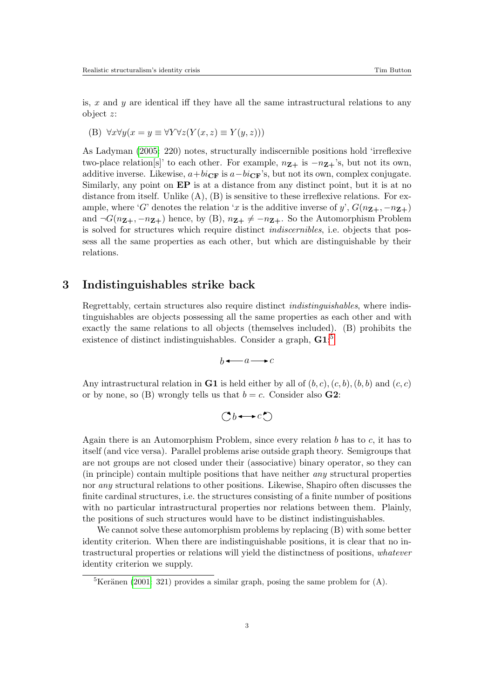is,  $x$  and  $y$  are identical iff they have all the same intrastructural relations to any object z:

(B) 
$$
\forall x \forall y (x = y \equiv \forall Y \forall z (Y(x, z) \equiv Y(y, z)))
$$

As Ladyman [\(2005:](#page-5-1) 220) notes, structurally indiscernible positions hold 'irreflexive two-place relation[s]' to each other. For example,  $n_{\mathbf{Z}+}$  is  $-n_{\mathbf{Z}+}$ 's, but not its own, additive inverse. Likewise,  $a+bi_{CF}$  is  $a-bi_{CF}$ 's, but not its own, complex conjugate. Similarly, any point on EP is at a distance from any distinct point, but it is at no distance from itself. Unlike  $(A)$ ,  $(B)$  is sensitive to these irreflexive relations. For example, where 'G' denotes the relation 'x is the additive inverse of y',  $G(n_{\mathbf{Z}+}, -n_{\mathbf{Z}+})$ and  $\neg G(n_{\mathbf{Z}+}, -n_{\mathbf{Z}+})$  hence, by (B),  $n_{\mathbf{Z}+} \neq -n_{\mathbf{Z}+}$ . So the Automorphism Problem is solved for structures which require distinct indiscernibles, i.e. objects that possess all the same properties as each other, but which are distinguishable by their relations.

#### 3 Indistinguishables strike back

Regrettably, certain structures also require distinct indistinguishables, where indistinguishables are objects possessing all the same properties as each other and with exactly the same relations to all objects (themselves included). (B) prohibits the existence of distinct indistinguishables. Consider a graph,  $\text{G}1$ :<sup>[5](#page-2-0)</sup>

 $b \leftarrow a \rightarrow c$ 

Any intrastructural relation in **G1** is held either by all of  $(b, c), (c, b), (b, b)$  and  $(c, c)$ or by none, so (B) wrongly tells us that  $b = c$ . Consider also **G2**:

$$
\mathbb{C}b \longrightarrow c\mathbb{C}
$$

Again there is an Automorphism Problem, since every relation  $b$  has to  $c$ , it has to itself (and vice versa). Parallel problems arise outside graph theory. Semigroups that are not groups are not closed under their (associative) binary operator, so they can (in principle) contain multiple positions that have neither any structural properties nor any structural relations to other positions. Likewise, Shapiro often discusses the finite cardinal structures, i.e. the structures consisting of a finite number of positions with no particular intrastructural properties nor relations between them. Plainly, the positions of such structures would have to be distinct indistinguishables.

We cannot solve these automorphism problems by replacing (B) with some better identity criterion. When there are indistinguishable positions, it is clear that no intrastructural properties or relations will yield the distinctness of positions, whatever identity criterion we supply.

<span id="page-2-0"></span> ${}^{5}$ Keränen [\(2001:](#page-5-0) 321) provides a similar graph, posing the same problem for (A).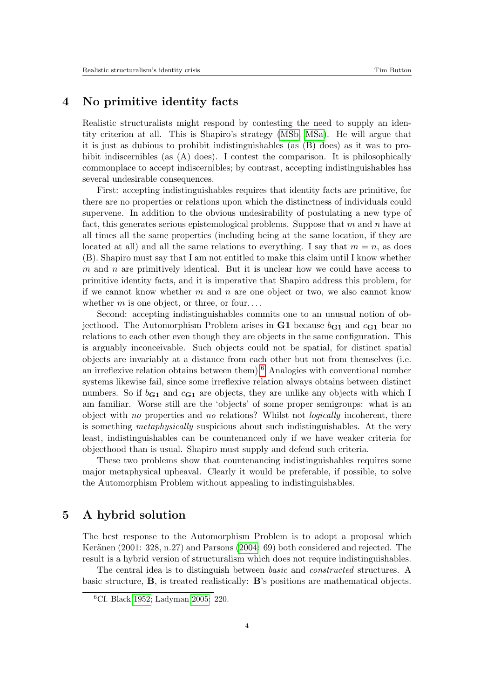## 4 No primitive identity facts

Realistic structuralists might respond by contesting the need to supply an identity criterion at all. This is Shapiro's strategy [\(MSb,](#page-5-5) [MSa\)](#page-5-6). He will argue that it is just as dubious to prohibit indistinguishables (as (B) does) as it was to prohibit indiscernibles (as (A) does). I contest the comparison. It is philosophically commonplace to accept indiscernibles; by contrast, accepting indistinguishables has several undesirable consequences.

First: accepting indistinguishables requires that identity facts are primitive, for there are no properties or relations upon which the distinctness of individuals could supervene. In addition to the obvious undesirability of postulating a new type of fact, this generates serious epistemological problems. Suppose that  $m$  and  $n$  have at all times all the same properties (including being at the same location, if they are located at all) and all the same relations to everything. I say that  $m = n$ , as does (B). Shapiro must say that I am not entitled to make this claim until I know whether  $m$  and  $n$  are primitively identical. But it is unclear how we could have access to primitive identity facts, and it is imperative that Shapiro address this problem, for if we cannot know whether  $m$  and  $n$  are one object or two, we also cannot know whether  $m$  is one object, or three, or four....

Second: accepting indistinguishables commits one to an unusual notion of objecthood. The Automorphism Problem arises in G1 because  $b_{G1}$  and  $c_{G1}$  bear no relations to each other even though they are objects in the same configuration. This is arguably inconceivable. Such objects could not be spatial, for distinct spatial objects are invariably at a distance from each other but not from themselves (i.e. an irreflexive relation obtains between them).<sup>[6](#page-3-0)</sup> Analogies with conventional number systems likewise fail, since some irreflexive relation always obtains between distinct numbers. So if  $b_{\text{G1}}$  and  $c_{\text{G1}}$  are objects, they are unlike any objects with which I am familiar. Worse still are the 'objects' of some proper semigroups: what is an object with no properties and no relations? Whilst not logically incoherent, there is something metaphysically suspicious about such indistinguishables. At the very least, indistinguishables can be countenanced only if we have weaker criteria for objecthood than is usual. Shapiro must supply and defend such criteria.

These two problems show that countenancing indistinguishables requires some major metaphysical upheaval. Clearly it would be preferable, if possible, to solve the Automorphism Problem without appealing to indistinguishables.

### 5 A hybrid solution

The best response to the Automorphism Problem is to adopt a proposal which Keränen (2001: 328, n.27) and Parsons [\(2004:](#page-5-2) 69) both considered and rejected. The result is a hybrid version of structuralism which does not require indistinguishables.

The central idea is to distinguish between basic and constructed structures. A basic structure, B, is treated realistically: B's positions are mathematical objects.

<span id="page-3-0"></span><sup>6</sup>Cf. Black [1952;](#page-5-4) Ladyman [2005:](#page-5-1) 220.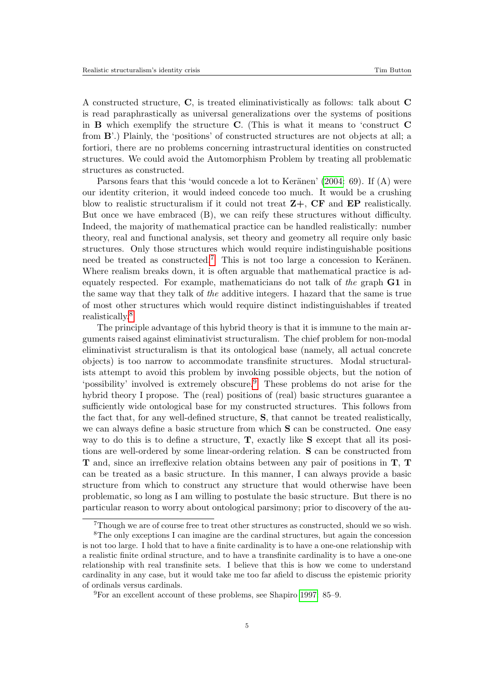A constructed structure, C, is treated eliminativistically as follows: talk about C is read paraphrastically as universal generalizations over the systems of positions in  $\bf{B}$  which exemplify the structure  $\bf{C}$ . (This is what it means to 'construct  $\bf{C}$ from B'.) Plainly, the 'positions' of constructed structures are not objects at all; a fortiori, there are no problems concerning intrastructural identities on constructed structures. We could avoid the Automorphism Problem by treating all problematic structures as constructed.

Parsons fears that this 'would concede a lot to Keränen'  $(2004: 69)$  $(2004: 69)$ . If  $(A)$  were our identity criterion, it would indeed concede too much. It would be a crushing blow to realistic structuralism if it could not treat  $Z+$ ,  $CF$  and  $EP$  realistically. But once we have embraced (B), we can reify these structures without difficulty. Indeed, the majority of mathematical practice can be handled realistically: number theory, real and functional analysis, set theory and geometry all require only basic structures. Only those structures which would require indistinguishable positions need be treated as constructed.<sup>[7](#page-4-0)</sup> This is not too large a concession to Keränen. Where realism breaks down, it is often arguable that mathematical practice is adequately respected. For example, mathematicians do not talk of the graph G1 in the same way that they talk of the additive integers. I hazard that the same is true of most other structures which would require distinct indistinguishables if treated realistically.<sup>[8](#page-4-1)</sup>

The principle advantage of this hybrid theory is that it is immune to the main arguments raised against eliminativist structuralism. The chief problem for non-modal eliminativist structuralism is that its ontological base (namely, all actual concrete objects) is too narrow to accommodate transfinite structures. Modal structuralists attempt to avoid this problem by invoking possible objects, but the notion of 'possibility' involved is extremely obscure.[9](#page-4-2) These problems do not arise for the hybrid theory I propose. The (real) positions of (real) basic structures guarantee a sufficiently wide ontological base for my constructed structures. This follows from the fact that, for any well-defined structure, S, that cannot be treated realistically, we can always define a basic structure from which S can be constructed. One easy way to do this is to define a structure, T, exactly like S except that all its positions are well-ordered by some linear-ordering relation. S can be constructed from T and, since an irreflexive relation obtains between any pair of positions in T, T can be treated as a basic structure. In this manner, I can always provide a basic structure from which to construct any structure that would otherwise have been problematic, so long as I am willing to postulate the basic structure. But there is no particular reason to worry about ontological parsimony; prior to discovery of the au-

<span id="page-4-1"></span><span id="page-4-0"></span><sup>7</sup>Though we are of course free to treat other structures as constructed, should we so wish.

<sup>&</sup>lt;sup>8</sup>The only exceptions I can imagine are the cardinal structures, but again the concession is not too large. I hold that to have a finite cardinality is to have a one-one relationship with a realistic finite ordinal structure, and to have a transfinite cardinality is to have a one-one relationship with real transfinite sets. I believe that this is how we come to understand cardinality in any case, but it would take me too far afield to discuss the epistemic priority of ordinals versus cardinals.

<span id="page-4-2"></span><sup>9</sup>For an excellent account of these problems, see Shapiro [1997:](#page-5-7) 85–9.